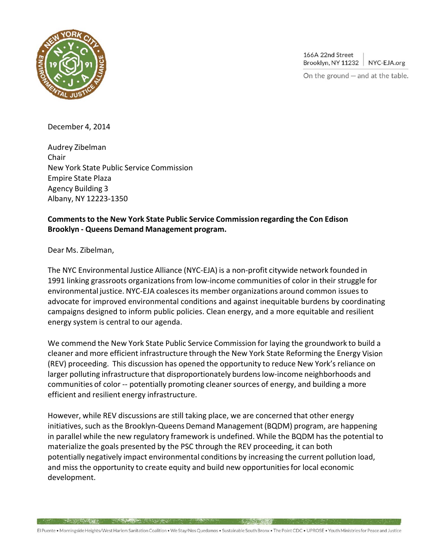

166A 22nd Street Brooklyn, NY 11232 NYC-EJA.org

On the ground  $-$  and at the table.

1/4

December 4, 2014

Audrey Zibelman Chair New York State Public Service Commission Empire State Plaza Agency Building 3 Albany, NY 12223‐1350

A STATE OF THE REAL PROPERTY AND RELEASED FOR A STRONG OF THE REAL PROPERTY OF THE REAL PROPERTY OF THE REAL PROPERTY.

## **Commentsto the New York State Public Service Commission regarding the Con Edison Brooklyn ‐ Queens Demand Management program.**

Dear Ms. Zibelman,

The NYC Environmental Justice Alliance (NYC‐EJA) is a non‐profit citywide network founded in 1991 linking grassroots organizations from low-income communities of color in their struggle for environmental justice. NYC-EJA coalesces its member organizations around common issues to advocate for improved environmental conditions and against inequitable burdens by coordinating campaigns designed to inform public policies. Clean energy, and a more equitable and resilient energy system is central to our agenda.

We commend the New York State Public Service Commission for laying the groundwork to build a cleaner and more efficient infrastructure through the New York State Reforming the Energy (REV) proceeding. This discussion has opened the opportunity to reduce New York's reliance on larger polluting infrastructure that disproportionately burdens low-income neighborhoods and communities of color ‐‐ potentially promoting cleaner sources of energy, and building a more efficient and resilient energy infrastructure.

However, while REV discussions are still taking place, we are concerned that other energy initiatives, such as the Brooklyn-Queens Demand Management (BQDM) program, are happening in parallel while the new regulatory framework is undefined. While the BQDM has the potential to materialize the goals presented by the PSC through the REV proceeding, it can both potentially negatively impact environmental conditions by increasing the current pollution load, and miss the opportunity to create equity and build new opportunitiesfor local economic development.

El Puente · Morningside Heights/West Harlem Sanitation Coalition · We Stay/Nos Quedamos · Sustainable South Bronx · The Point CDC · UPROSE · Youth Ministries for Peace and Justice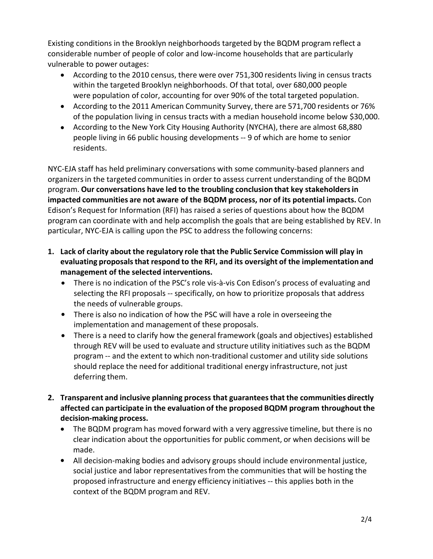Existing conditions in the Brooklyn neighborhoods targeted by the BQDM program reflect a considerable number of people of color and low‐income households that are particularly vulnerable to power outages:

- According to the 2010 census, there were over 751,300 residents living in census tracts within the targeted Brooklyn neighborhoods. Of that total, over 680,000 people were population of color, accounting for over 90% of the total targeted population.
- According to the 2011 American Community Survey, there are 571,700 residents or 76% of the population living in census tracts with a median household income below \$30,000.
- According to the New York City Housing Authority (NYCHA), there are almost 68,880 people living in 66 public housing developments ‐‐ 9 of which are home to senior residents.

NYC‐EJA staff has held preliminary conversations with some community‐based planners and organizersin the targeted communities in order to assess current understanding of the BQDM program. **Our conversations have led to the troubling conclusion that key stakeholdersin impacted communities are not aware of the BQDM process, nor of its potential impacts.** Con Edison's Request for Information (RFI) has raised a series of questions about how the BQDM program can coordinate with and help accomplish the goals that are being established by REV. In particular, NYC‐EJA is calling upon the PSC to address the following concerns:

- **1. Lack of clarity about the regulatory role that the Public Service Commission will play in evaluating proposalsthat respond to the RFI, and its oversight of the implementation and management of the selected interventions.**
	- There is no indication of the PSC's role vis‐à‐vis Con Edison's process of evaluating and selecting the RFI proposals ‐‐ specifically, on how to prioritize proposals that address the needs of vulnerable groups.
	- There is also no indication of how the PSC will have a role in overseeing the implementation and management of these proposals.
	- There is a need to clarify how the general framework (goals and objectives) established through REV will be used to evaluate and structure utility initiatives such as the BQDM program ‐‐ and the extent to which non‐traditional customer and utility side solutions should replace the need for additional traditional energy infrastructure, not just deferring them.
- **2. Transparent and inclusive planning process that guaranteesthat the communities directly affected can participate in the evaluation of the proposed BQDM program throughout the decision‐making process.**
	- The BQDM program has moved forward with a very aggressive timeline, but there is no clear indication about the opportunities for public comment, or when decisions will be made.
	- All decision-making bodies and advisory groups should include environmental justice, social justice and labor representativesfrom the communities that will be hosting the proposed infrastructure and energy efficiency initiatives ‐‐ this applies both in the context of the BQDM program and REV.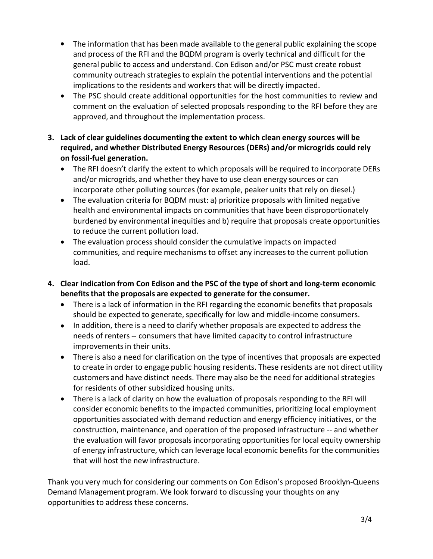- The information that has been made available to the general public explaining the scope and process of the RFI and the BQDM program is overly technical and difficult for the general public to access and understand. Con Edison and/or PSC must create robust community outreach strategies to explain the potential interventions and the potential implications to the residents and workers that will be directly impacted.
- The PSC should create additional opportunities for the host communities to review and comment on the evaluation of selected proposals responding to the RFI before they are approved, and throughout the implementation process.
- **3. Lack of clear guidelines documenting the extent to which clean energy sources will be required, and whether Distributed Energy Resources (DERs) and/or microgrids could rely on fossil‐fuel generation.**
	- The RFI doesn't clarify the extent to which proposals will be required to incorporate DERs and/or microgrids, and whether they have to use clean energy sources or can incorporate other polluting sources (for example, peaker units that rely on diesel.)
	- The evaluation criteria for BQDM must: a) prioritize proposals with limited negative health and environmental impacts on communities that have been disproportionately burdened by environmental inequities and b) require that proposals create opportunities to reduce the current pollution load.  $\bullet$
	- The evaluation process should consider the cumulative impacts on impacted communities, and require mechanisms to offset any increasesto the current pollution load.
- **4. Clear indication from Con Edison and the PSC of the type of short and long‐term economic benefitsthat the proposals are expected to generate for the consumer.**
	- There is a lack of information in the RFI regarding the economic benefits that proposals should be expected to generate, specifically for low and middle-income consumers.
	- In addition, there is a need to clarify whether proposals are expected to address the needs of renters ‐‐ consumers that have limited capacity to control infrastructure improvements in their units.
	- There is also a need for clarification on the type of incentives that proposals are expected to create in order to engage public housing residents. These residents are not direct utility customers and have distinct needs. There may also be the need for additional strategies for residents of other subsidized housing units.
	- There is a lack of clarity on how the evaluation of proposals responding to the RFI will consider economic benefits to the impacted communities, prioritizing local employment opportunities associated with demand reduction and energy efficiency initiatives, or the construction, maintenance, and operation of the proposed infrastructure ‐‐ and whether the evaluation will favor proposals incorporating opportunities for local equity ownership of energy infrastructure, which can leverage local economic benefits for the communities that will host the new infrastructure.

Thank you very much for considering our comments on Con Edison's proposed Brooklyn‐Queens Demand Management program. We look forward to discussing your thoughts on any opportunities to address these concerns.